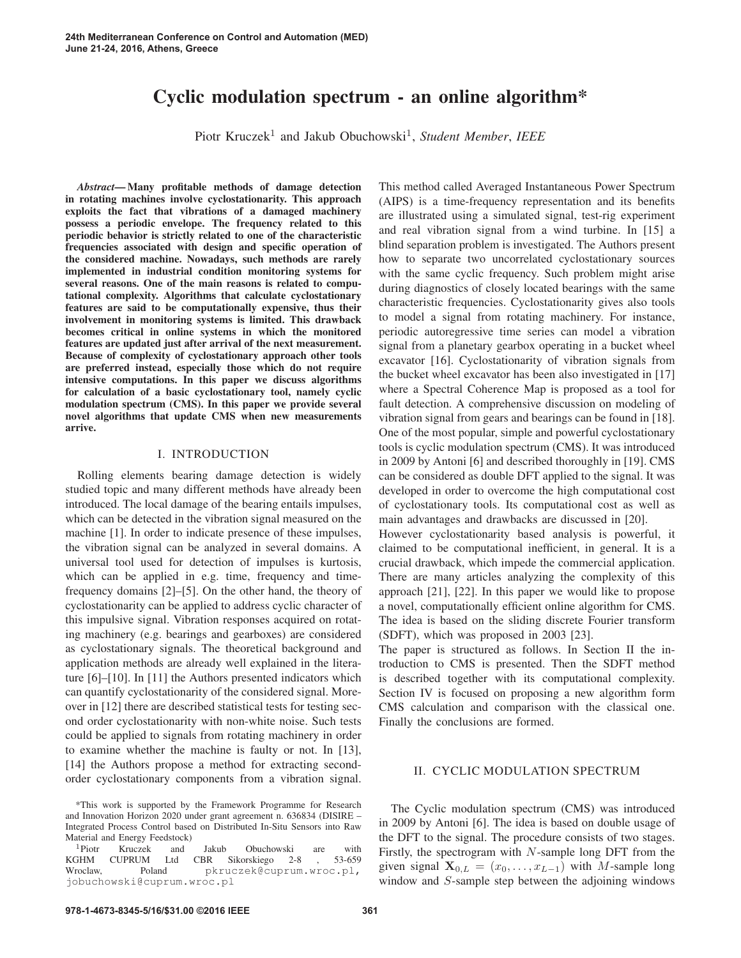# Cyclic modulation spectrum - an online algorithm\*

Piotr Kruczek<sup>1</sup> and Jakub Obuchowski<sup>1</sup>, *Student Member*, *IEEE* 

*Abstract*— Many profitable methods of damage detection in rotating machines involve cyclostationarity. This approach exploits the fact that vibrations of a damaged machinery possess a periodic envelope. The frequency related to this periodic behavior is strictly related to one of the characteristic frequencies associated with design and specific operation of the considered machine. Nowadays, such methods are rarely implemented in industrial condition monitoring systems for several reasons. One of the main reasons is related to computational complexity. Algorithms that calculate cyclostationary features are said to be computationally expensive, thus their involvement in monitoring systems is limited. This drawback becomes critical in online systems in which the monitored features are updated just after arrival of the next measurement. Because of complexity of cyclostationary approach other tools are preferred instead, especially those which do not require intensive computations. In this paper we discuss algorithms for calculation of a basic cyclostationary tool, namely cyclic modulation spectrum (CMS). In this paper we provide several novel algorithms that update CMS when new measurements arrive.

## I. INTRODUCTION

Rolling elements bearing damage detection is widely studied topic and many different methods have already been introduced. The local damage of the bearing entails impulses, which can be detected in the vibration signal measured on the machine [1]. In order to indicate presence of these impulses, the vibration signal can be analyzed in several domains. A universal tool used for detection of impulses is kurtosis, which can be applied in e.g. time, frequency and timefrequency domains [2]–[5]. On the other hand, the theory of cyclostationarity can be applied to address cyclic character of this impulsive signal. Vibration responses acquired on rotating machinery (e.g. bearings and gearboxes) are considered as cyclostationary signals. The theoretical background and application methods are already well explained in the literature [6]–[10]. In [11] the Authors presented indicators which can quantify cyclostationarity of the considered signal. Moreover in [12] there are described statistical tests for testing second order cyclostationarity with non-white noise. Such tests could be applied to signals from rotating machinery in order to examine whether the machine is faulty or not. In [13], [14] the Authors propose a method for extracting secondorder cyclostationary components from a vibration signal. This method called Averaged Instantaneous Power Spectrum (AIPS) is a time-frequency representation and its benefits are illustrated using a simulated signal, test-rig experiment and real vibration signal from a wind turbine. In [15] a blind separation problem is investigated. The Authors present how to separate two uncorrelated cyclostationary sources with the same cyclic frequency. Such problem might arise during diagnostics of closely located bearings with the same characteristic frequencies. Cyclostationarity gives also tools to model a signal from rotating machinery. For instance, periodic autoregressive time series can model a vibration signal from a planetary gearbox operating in a bucket wheel excavator [16]. Cyclostationarity of vibration signals from the bucket wheel excavator has been also investigated in [17] where a Spectral Coherence Map is proposed as a tool for fault detection. A comprehensive discussion on modeling of vibration signal from gears and bearings can be found in [18]. One of the most popular, simple and powerful cyclostationary tools is cyclic modulation spectrum (CMS). It was introduced in 2009 by Antoni [6] and described thoroughly in [19]. CMS can be considered as double DFT applied to the signal. It was developed in order to overcome the high computational cost of cyclostationary tools. Its computational cost as well as main advantages and drawbacks are discussed in [20].

However cyclostationarity based analysis is powerful, it claimed to be computational inefficient, in general. It is a crucial drawback, which impede the commercial application. There are many articles analyzing the complexity of this approach [21], [22]. In this paper we would like to propose a novel, computationally efficient online algorithm for CMS. The idea is based on the sliding discrete Fourier transform (SDFT), which was proposed in 2003 [23].

The paper is structured as follows. In Section II the introduction to CMS is presented. Then the SDFT method is described together with its computational complexity. Section IV is focused on proposing a new algorithm form CMS calculation and comparison with the classical one. Finally the conclusions are formed.

# II. CYCLIC MODULATION SPECTRUM

The Cyclic modulation spectrum (CMS) was introduced in 2009 by Antoni [6]. The idea is based on double usage of the DFT to the signal. The procedure consists of two stages. Firstly, the spectrogram with  $N$ -sample long DFT from the given signal  $\mathbf{X}_{0,L} = (x_0, \ldots, x_{L-1})$  with M-sample long window and S-sample step between the adjoining windows

<sup>\*</sup>This work is supported by the Framework Programme for Research and Innovation Horizon 2020 under grant agreement n. 636834 (DISIRE – Integrated Process Control based on Distributed In-Situ Sensors into Raw Material and Energy Feedstock)

<sup>&</sup>lt;sup>1</sup>Piotr Kruczek and Jakub Obuchowski are with <br>KGHM CUPRUM Ltd CBR Sikorskiego 2-8 , 53-659 KGHM CUPRUM Ltd CBR Sikorskiego 2-8<br>Wroclaw, Poland pkruczek@cuprum pkruczek@cuprum.wroc.pl, jobuchowski@cuprum.wroc.pl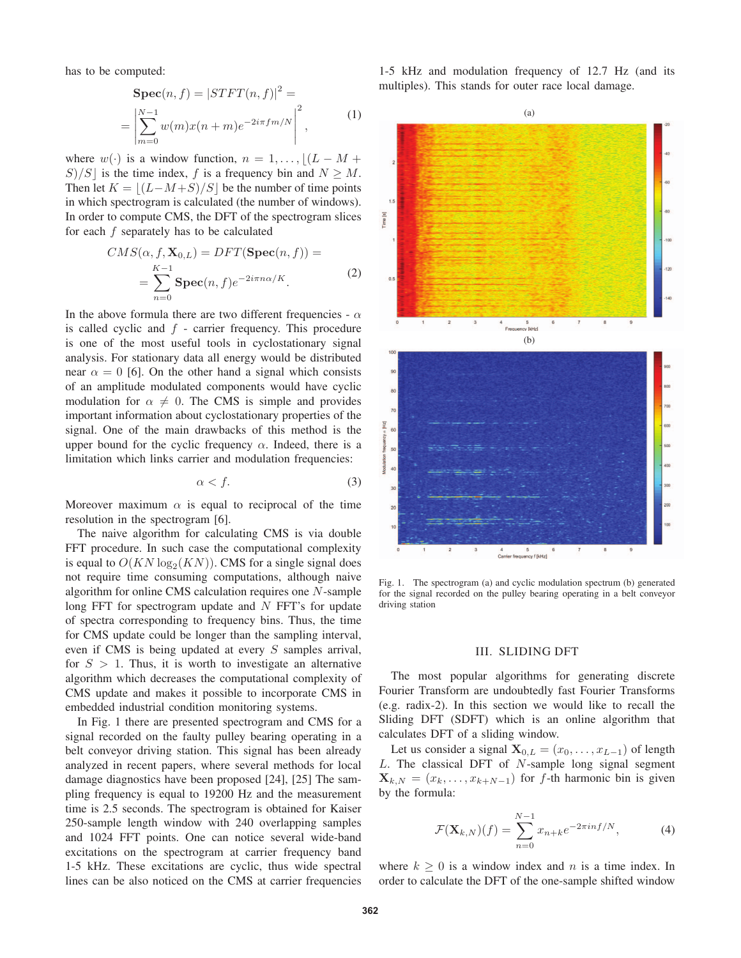has to be computed:

$$
\begin{aligned} \mathbf{Spec}(n, f) &= |STFT(n, f)|^2 = \\ &= \left| \sum_{m=0}^{N-1} w(m)x(n+m)e^{-2i\pi fm/N} \right|^2, \end{aligned} \tag{1}
$$

where  $w(\cdot)$  is a window function,  $n = 1, \ldots, \lfloor (L - M + S)/S \rfloor$  is the time index f is a frequency bin and  $N > M$ S)/S is the time index, f is a frequency bin and  $N \geq M$ . Then let  $K = \lfloor (L-M+S)/S \rfloor$  be the number of time points<br>in which spectrogram is calculated (the number of windows) in which spectrogram is calculated (the number of windows). In order to compute CMS, the DFT of the spectrogram slices for each  $f$  separately has to be calculated

$$
CMS(\alpha, f, \mathbf{X}_{0,L}) = DFT(\mathbf{Spec}(n, f)) =
$$
  
= 
$$
\sum_{n=0}^{K-1} \mathbf{Spec}(n, f) e^{-2i\pi n \alpha/K}.
$$
 (2)

In the above formula there are two different frequencies -  $\alpha$ is called cyclic and  $f$  - carrier frequency. This procedure is one of the most useful tools in cyclostationary signal analysis. For stationary data all energy would be distributed near  $\alpha = 0$  [6]. On the other hand a signal which consists of an amplitude modulated components would have cyclic modulation for  $\alpha \neq 0$ . The CMS is simple and provides important information about cyclostationary properties of the signal. One of the main drawbacks of this method is the upper bound for the cyclic frequency  $\alpha$ . Indeed, there is a limitation which links carrier and modulation frequencies:

$$
\alpha < f. \tag{3}
$$

Moreover maximum  $\alpha$  is equal to reciprocal of the time resolution in the spectrogram [6].

The naive algorithm for calculating CMS is via double FFT procedure. In such case the computational complexity is equal to  $O(KN \log_2(KN))$ . CMS for a single signal does not require time consuming computations, although naive algorithm for online CMS calculation requires one N-sample long FFT for spectrogram update and  $N$  FFT's for update of spectra corresponding to frequency bins. Thus, the time for CMS update could be longer than the sampling interval, even if CMS is being updated at every S samples arrival, for  $S > 1$ . Thus, it is worth to investigate an alternative algorithm which decreases the computational complexity of CMS update and makes it possible to incorporate CMS in embedded industrial condition monitoring systems.

In Fig. 1 there are presented spectrogram and CMS for a signal recorded on the faulty pulley bearing operating in a belt conveyor driving station. This signal has been already analyzed in recent papers, where several methods for local damage diagnostics have been proposed [24], [25] The sampling frequency is equal to 19200 Hz and the measurement time is 2.5 seconds. The spectrogram is obtained for Kaiser 250-sample length window with 240 overlapping samples and 1024 FFT points. One can notice several wide-band excitations on the spectrogram at carrier frequency band 1-5 kHz. These excitations are cyclic, thus wide spectral lines can be also noticed on the CMS at carrier frequencies

1-5 kHz and modulation frequency of 12.7 Hz (and its multiples). This stands for outer race local damage.



Fig. 1. The spectrogram (a) and cyclic modulation spectrum (b) generated for the signal recorded on the pulley bearing operating in a belt conveyor driving station

#### III. SLIDING DFT

The most popular algorithms for generating discrete Fourier Transform are undoubtedly fast Fourier Transforms (e.g. radix-2). In this section we would like to recall the Sliding DFT (SDFT) which is an online algorithm that calculates DFT of a sliding window.

Let us consider a signal  $X_{0,L} = (x_0, \ldots, x_{L-1})$  of length  $L$ . The classical DFT of  $N$ -sample long signal segment  $\mathbf{X}_{k,N} = (x_k, \ldots, x_{k+N-1})$  for f-th harmonic bin is given by the formula:

$$
\mathcal{F}(\mathbf{X}_{k,N})(f) = \sum_{n=0}^{N-1} x_{n+k} e^{-2\pi i n f/N},
$$
 (4)

where  $k \geq 0$  is a window index and n is a time index. In order to calculate the DFT of the one-sample shifted window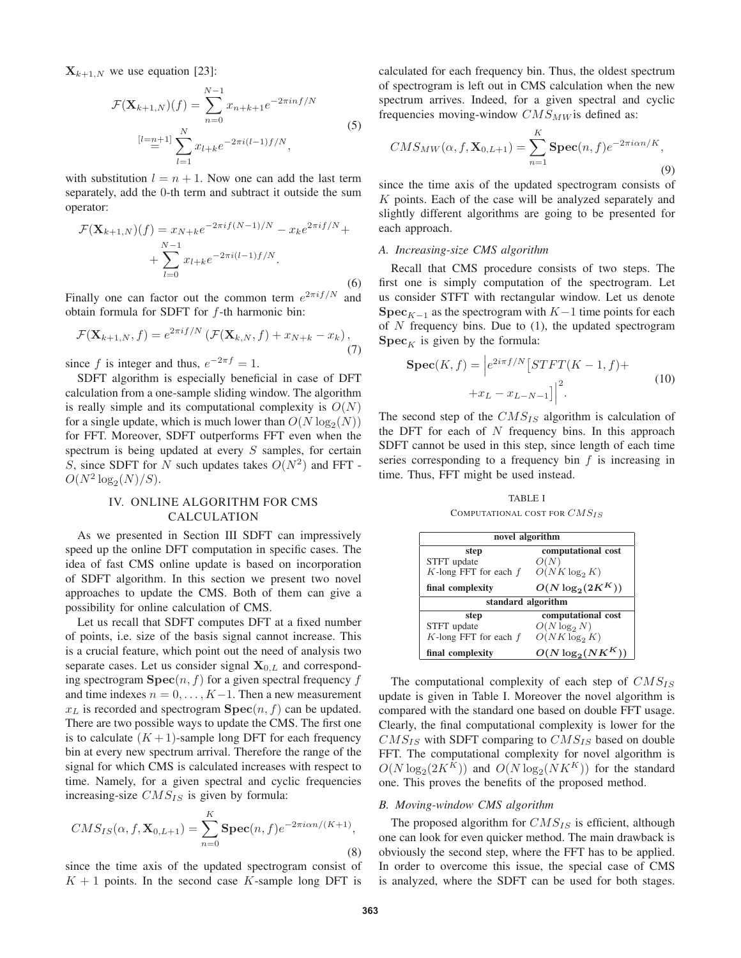$\mathbf{X}_{k+1,N}$  we use equation [23]:

$$
\mathcal{F}(\mathbf{X}_{k+1,N})(f) = \sum_{n=0}^{N-1} x_{n+k+1} e^{-2\pi i n f/N}
$$
  
\n
$$
[l = n+1] \sum_{l=1}^{N} x_{l+k} e^{-2\pi i (l-1) f/N},
$$
\n(5)

with substitution  $l = n + 1$ . Now one can add the last term separately, add the 0-th term and subtract it outside the sum operator:

$$
\mathcal{F}(\mathbf{X}_{k+1,N})(f) = x_{N+k}e^{-2\pi if(N-1)/N} - x_k e^{2\pi if/N} + \sum_{l=0}^{N-1} x_{l+k}e^{-2\pi i(l-1)f/N}.
$$
\n(6)

Finally one can factor out the common term  $e^{2\pi i f/N}$  and obtain formula for SDFT for f-th harmonic bin:

$$
\mathcal{F}(\mathbf{X}_{k+1,N},f) = e^{2\pi i f/N} \left( \mathcal{F}(\mathbf{X}_{k,N},f) + x_{N+k} - x_k \right),\tag{7}
$$

since f is integer and thus,  $e^{-2\pi f} = 1$ .

SDFT algorithm is especially beneficial in case of DFT calculation from a one-sample sliding window. The algorithm is really simple and its computational complexity is  $O(N)$ for a single update, which is much lower than  $O(N \log_2(N))$ for FFT. Moreover, SDFT outperforms FFT even when the spectrum is being updated at every  $S$  samples, for certain S, since SDFT for N such updates takes  $O(N^2)$  and FFT - $O(N^2 \log_2(N)/S)$ .

# IV. ONLINE ALGORITHM FOR CMS CALCULATION

As we presented in Section III SDFT can impressively speed up the online DFT computation in specific cases. The idea of fast CMS online update is based on incorporation of SDFT algorithm. In this section we present two novel approaches to update the CMS. Both of them can give a possibility for online calculation of CMS.

Let us recall that SDFT computes DFT at a fixed number of points, i.e. size of the basis signal cannot increase. This is a crucial feature, which point out the need of analysis two separate cases. Let us consider signal  $X_{0,L}$  and corresponding spectrogram  $\textbf{Spec}(n, f)$  for a given spectral frequency f and time indexes  $n = 0, \ldots, K-1$ . Then a new measurement  $x_L$  is recorded and spectrogram  $\textbf{Spec}(n, f)$  can be updated. There are two possible ways to update the CMS. The first one is to calculate  $(K + 1)$ -sample long DFT for each frequency bin at every new spectrum arrival. Therefore the range of the signal for which CMS is calculated increases with respect to time. Namely, for a given spectral and cyclic frequencies increasing-size  $CMS_{IS}$  is given by formula:

$$
CMS_{IS}(\alpha, f, \mathbf{X}_{0,L+1}) = \sum_{n=0}^{K} \mathbf{Spec}(n, f) e^{-2\pi i \alpha n/(K+1)},
$$
\n(8)

since the time axis of the updated spectrogram consist of  $K + 1$  points. In the second case K-sample long DFT is

calculated for each frequency bin. Thus, the oldest spectrum of spectrogram is left out in CMS calculation when the new spectrum arrives. Indeed, for a given spectral and cyclic frequencies moving-window  $CMS_{MW}$  is defined as:

$$
CMS_{MW}(\alpha, f, \mathbf{X}_{0,L+1}) = \sum_{n=1}^{K} \mathbf{Spec}(n, f) e^{-2\pi i \alpha n/K},
$$
\n(9)

since the time axis of the updated spectrogram consists of  $K$  points. Each of the case will be analyzed separately and slightly different algorithms are going to be presented for each approach.

## *A. Increasing-size CMS algorithm*

Recall that CMS procedure consists of two steps. The first one is simply computation of the spectrogram. Let us consider STFT with rectangular window. Let us denote **Spec**<sub>K−1</sub> as the spectrogram with  $K-1$  time points for each of  $N$  frequency bins. Due to  $(1)$ , the updated spectrogram  $\textbf{Spec}_K$  is given by the formula:

$$
\text{Spec}(K, f) = \left| e^{2i\pi f/N} \left[ STFT(K-1, f) + \right. \right. \tag{10}
$$
\n
$$
+ x_L - x_{L-N-1} \right] \Big|^2.
$$

The second step of the  $CMS_{IS}$  algorithm is calculation of the DFT for each of  $N$  frequency bins. In this approach SDFT cannot be used in this step, since length of each time series corresponding to a frequency bin  $f$  is increasing in time. Thus, FFT might be used instead.

TABLE I COMPUTATIONAL COST FOR  $CMS_{IS}$ 

| novel algorithm            |                      |  |
|----------------------------|----------------------|--|
| step                       | computational cost   |  |
| STFT update                | O(N)                 |  |
| $K$ -long FFT for each $f$ | $O(NK \log_2 K)$     |  |
| final complexity           | $O(N \log_2(2K^K))$  |  |
| standard algorithm         |                      |  |
| step                       | computational cost   |  |
| STFT update                | $O(N \log_2 N)$      |  |
| $K$ -long FFT for each $f$ | $O(NK \log_2 K)$     |  |
| final complexity           | $O(N \log_2(N K^K))$ |  |

The computational complexity of each step of  $CMS_{IS}$ update is given in Table I. Moreover the novel algorithm is compared with the standard one based on double FFT usage. Clearly, the final computational complexity is lower for the  $CMS_{IS}$  with SDFT comparing to  $CMS_{IS}$  based on double FFT. The computational complexity for novel algorithm is  $O(N \log_2(2K^K))$  and  $O(N \log_2(NK^K))$  for the standard one. This proves the benefits of the proposed method.

## *B. Moving-window CMS algorithm*

The proposed algorithm for  $CMS_{IS}$  is efficient, although one can look for even quicker method. The main drawback is obviously the second step, where the FFT has to be applied. In order to overcome this issue, the special case of CMS is analyzed, where the SDFT can be used for both stages.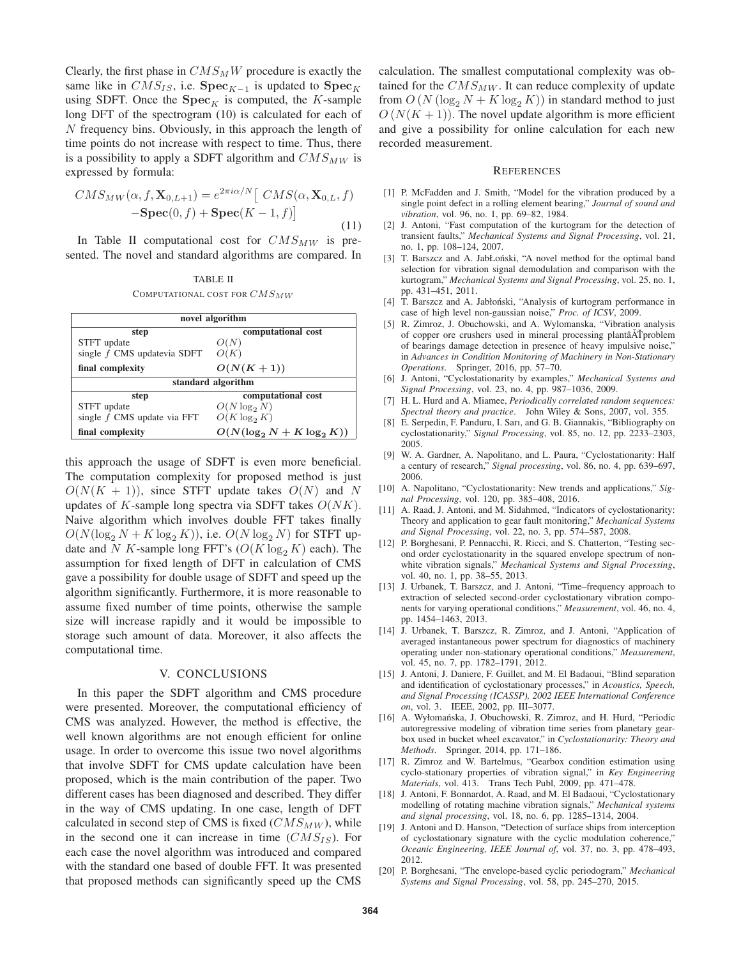Clearly, the first phase in  $CMS_MW$  procedure is exactly the same like in  $CMS_{IS}$ , i.e. **Spec**<sub>K−1</sub> is updated to **Spec**<sub>K</sub> using SDFT. Once the  $\text{Spec}_K$  is computed, the K-sample long DFT of the spectrogram (10) is calculated for each of N frequency bins. Obviously, in this approach the length of time points do not increase with respect to time. Thus, there is a possibility to apply a SDFT algorithm and  $CMS_{MW}$  is expressed by formula:

$$
CMS_{MW}(\alpha, f, \mathbf{X}_{0,L+1}) = e^{2\pi i \alpha/N} \left[ \ CMS(\alpha, \mathbf{X}_{0,L}, f) - \mathbf{Spec}(0, f) + \mathbf{Spec}(K-1, f) \right]
$$
\n(11)

In Table II computational cost for  $CMS_{MW}$  is presented. The novel and standard algorithms are compared. In

TABLE II COMPUTATIONAL COST FOR  $CMS_{MW}$ 

| novel algorithm               |                               |
|-------------------------------|-------------------------------|
| step                          | computational cost            |
| STFT update                   | O(N)                          |
| single f CMS updatevia SDFT   | O(K)                          |
| final complexity              | $O(N(K+1))$                   |
| standard algorithm            |                               |
| step                          | computational cost            |
| STFT update                   | $O(N \log_2 N)$               |
| single $f$ CMS update via FFT | $O(K \log_2 K)$               |
| final complexity              | $O(N(\log_2 N + K \log_2 K))$ |

this approach the usage of SDFT is even more beneficial. The computation complexity for proposed method is just  $O(N(K + 1))$ , since STFT update takes  $O(N)$  and N updates of  $K$ -sample long spectra via SDFT takes  $O(NK)$ . Naive algorithm which involves double FFT takes finally  $O(N(\log_2 N + K \log_2 K))$ , i.e.  $O(N \log_2 N)$  for STFT update and N K-sample long FFT's  $(O(K \log_2 K)$  each). The assumption for fixed length of DFT in calculation of CMS gave a possibility for double usage of SDFT and speed up the algorithm significantly. Furthermore, it is more reasonable to assume fixed number of time points, otherwise the sample size will increase rapidly and it would be impossible to storage such amount of data. Moreover, it also affects the computational time.

### V. CONCLUSIONS

In this paper the SDFT algorithm and CMS procedure were presented. Moreover, the computational efficiency of CMS was analyzed. However, the method is effective, the well known algorithms are not enough efficient for online usage. In order to overcome this issue two novel algorithms that involve SDFT for CMS update calculation have been proposed, which is the main contribution of the paper. Two different cases has been diagnosed and described. They differ in the way of CMS updating. In one case, length of DFT calculated in second step of CMS is fixed  $(CMS_{MW})$ , while in the second one it can increase in time  $(CMS_{IS})$ . For each case the novel algorithm was introduced and compared with the standard one based of double FFT. It was presented that proposed methods can significantly speed up the CMS

calculation. The smallest computational complexity was obtained for the  $CMS_{MW}$ . It can reduce complexity of update from  $O(N (\log_2 N + K \log_2 K))$  in standard method to just  $O(N(K+1))$ . The novel update algorithm is more efficient and give a possibility for online calculation for each new recorded measurement.

#### **REFERENCES**

- [1] P. McFadden and J. Smith, "Model for the vibration produced by a single point defect in a rolling element bearing," *Journal of sound and vibration*, vol. 96, no. 1, pp. 69–82, 1984.
- [2] J. Antoni, "Fast computation of the kurtogram for the detection of transient faults," *Mechanical Systems and Signal Processing*, vol. 21, no. 1, pp. 108–124, 2007.
- [3] T. Barszcz and A. JabŁoński, "A novel method for the optimal band selection for vibration signal demodulation and comparison with the kurtogram," *Mechanical Systems and Signal Processing*, vol. 25, no. 1, pp. 431–451, 2011.
- [4] T. Barszcz and A. Jabłoński, "Analysis of kurtogram performance in case of high level non-gaussian noise," *Proc. of ICSV*, 2009.
- [5] R. Zimroz, J. Obuchowski, and A. Wylomanska, "Vibration analysis of copper ore crushers used in mineral processing plantâ $\tilde{A}$ Tproblem of bearings damage detection in presence of heavy impulsive noise," in *Advances in Condition Monitoring of Machinery in Non-Stationary Operations*. Springer, 2016, pp. 57–70.
- [6] J. Antoni, "Cyclostationarity by examples," *Mechanical Systems and Signal Processing*, vol. 23, no. 4, pp. 987–1036, 2009.
- [7] H. L. Hurd and A. Miamee, *Periodically correlated random sequences: Spectral theory and practice*. John Wiley & Sons, 2007, vol. 355.
- [8] E. Serpedin, F. Panduru, I. Sarı, and G. B. Giannakis, "Bibliography on cyclostationarity," *Signal Processing*, vol. 85, no. 12, pp. 2233–2303, 2005.
- [9] W. A. Gardner, A. Napolitano, and L. Paura, "Cyclostationarity: Half a century of research," *Signal processing*, vol. 86, no. 4, pp. 639–697, 2006.
- [10] A. Napolitano, "Cyclostationarity: New trends and applications," *Signal Processing*, vol. 120, pp. 385–408, 2016.
- [11] A. Raad, J. Antoni, and M. Sidahmed, "Indicators of cyclostationarity: Theory and application to gear fault monitoring," *Mechanical Systems and Signal Processing*, vol. 22, no. 3, pp. 574–587, 2008.
- [12] P. Borghesani, P. Pennacchi, R. Ricci, and S. Chatterton, "Testing second order cyclostationarity in the squared envelope spectrum of nonwhite vibration signals," *Mechanical Systems and Signal Processing*, vol. 40, no. 1, pp. 38–55, 2013.
- [13] J. Urbanek, T. Barszcz, and J. Antoni, "Time–frequency approach to extraction of selected second-order cyclostationary vibration components for varying operational conditions," *Measurement*, vol. 46, no. 4, pp. 1454–1463, 2013.
- [14] J. Urbanek, T. Barszcz, R. Zimroz, and J. Antoni, "Application of averaged instantaneous power spectrum for diagnostics of machinery operating under non-stationary operational conditions," *Measurement*, vol. 45, no. 7, pp. 1782–1791, 2012.
- [15] J. Antoni, J. Daniere, F. Guillet, and M. El Badaoui, "Blind separation and identification of cyclostationary processes," in *Acoustics, Speech, and Signal Processing (ICASSP), 2002 IEEE International Conference on*, vol. 3. IEEE, 2002, pp. III–3077.
- [16] A. Wyłomańska, J. Obuchowski, R. Zimroz, and H. Hurd, "Periodic autoregressive modeling of vibration time series from planetary gearbox used in bucket wheel excavator," in *Cyclostationarity: Theory and Methods*. Springer, 2014, pp. 171–186.
- [17] R. Zimroz and W. Bartelmus, "Gearbox condition estimation using cyclo-stationary properties of vibration signal," in *Key Engineering Materials*, vol. 413. Trans Tech Publ, 2009, pp. 471–478.
- [18] J. Antoni, F. Bonnardot, A. Raad, and M. El Badaoui, "Cyclostationary modelling of rotating machine vibration signals," *Mechanical systems and signal processing*, vol. 18, no. 6, pp. 1285–1314, 2004.
- [19] J. Antoni and D. Hanson, "Detection of surface ships from interception of cyclostationary signature with the cyclic modulation coherence," *Oceanic Engineering, IEEE Journal of*, vol. 37, no. 3, pp. 478–493, 2012.
- [20] P. Borghesani, "The envelope-based cyclic periodogram," *Mechanical Systems and Signal Processing*, vol. 58, pp. 245–270, 2015.